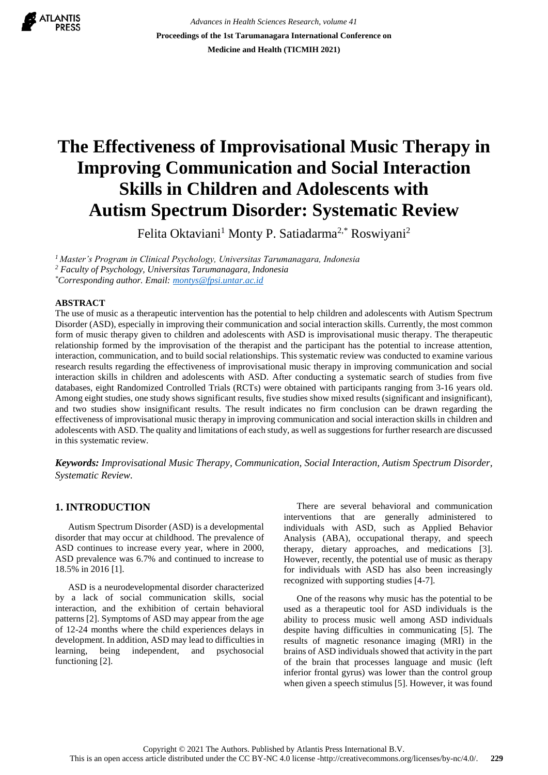

*Advances in Health Sciences Research, volume 41* **Proceedings of the 1st Tarumanagara International Conference on Medicine and Health (TICMIH 2021)**

# **The Effectiveness of Improvisational Music Therapy in Improving Communication and Social Interaction Skills in Children and Adolescents with Autism Spectrum Disorder: Systematic Review**

Felita Oktaviani<sup>1</sup> Monty P. Satiadarma<sup>2,\*</sup> Roswiyani<sup>2</sup>

*<sup>1</sup>Master's Program in Clinical Psychology, Universitas Tarumanagara, Indonesia <sup>2</sup> Faculty of Psychology, Universitas Tarumanagara, Indonesia \*Corresponding author. Email[: montys@fpsi.untar.ac.id](mailto:montys@fpsi.untar.ac.id)*

## **ABSTRACT**

The use of music as a therapeutic intervention has the potential to help children and adolescents with Autism Spectrum Disorder (ASD), especially in improving their communication and social interaction skills. Currently, the most common form of music therapy given to children and adolescents with ASD is improvisational music therapy. The therapeutic relationship formed by the improvisation of the therapist and the participant has the potential to increase attention, interaction, communication, and to build social relationships. This systematic review was conducted to examine various research results regarding the effectiveness of improvisational music therapy in improving communication and social interaction skills in children and adolescents with ASD. After conducting a systematic search of studies from five databases, eight Randomized Controlled Trials (RCTs) were obtained with participants ranging from 3-16 years old. Among eight studies, one study shows significant results, five studies show mixed results (significant and insignificant), and two studies show insignificant results. The result indicates no firm conclusion can be drawn regarding the effectiveness of improvisational music therapy in improving communication and social interaction skills in children and adolescents with ASD. The quality and limitations of each study, as well as suggestions for further research are discussed in this systematic review.

*Keywords: Improvisational Music Therapy, Communication, Social Interaction, Autism Spectrum Disorder, Systematic Review.*

# **1. INTRODUCTION**

Autism Spectrum Disorder (ASD) is a developmental disorder that may occur at childhood. The prevalence of ASD continues to increase every year, where in 2000, ASD prevalence was 6.7% and continued to increase to 18.5% in 2016 [1].

ASD is a neurodevelopmental disorder characterized by a lack of social communication skills, social interaction, and the exhibition of certain behavioral patterns [2]. Symptoms of ASD may appear from the age of 12-24 months where the child experiences delays in development. In addition, ASD may lead to difficulties in learning, being independent, and psychosocial functioning [2].

There are several behavioral and communication interventions that are generally administered to individuals with ASD, such as Applied Behavior Analysis (ABA), occupational therapy, and speech therapy, dietary approaches, and medications [3]. However, recently, the potential use of music as therapy for individuals with ASD has also been increasingly recognized with supporting studies [4-7].

One of the reasons why music has the potential to be used as a therapeutic tool for ASD individuals is the ability to process music well among ASD individuals despite having difficulties in communicating [5]. The results of magnetic resonance imaging (MRI) in the brains of ASD individuals showed that activity in the part of the brain that processes language and music (left inferior frontal gyrus) was lower than the control group when given a speech stimulus [5]. However, it was found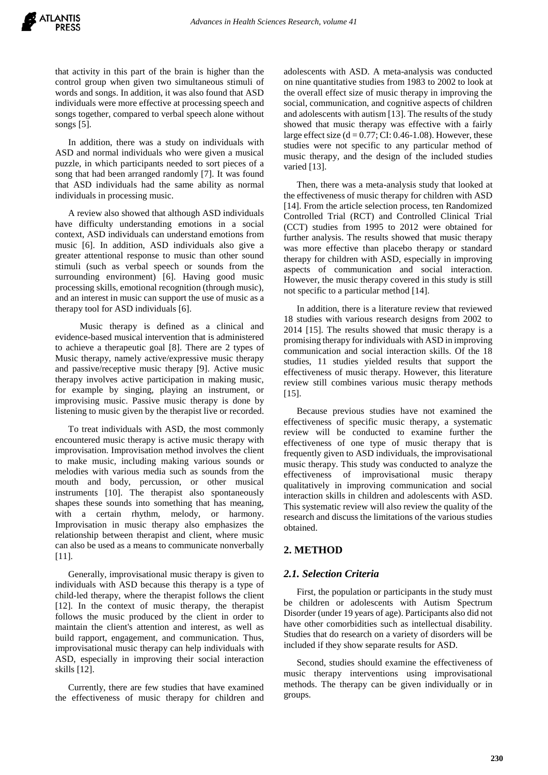that activity in this part of the brain is higher than the control group when given two simultaneous stimuli of words and songs. In addition, it was also found that ASD individuals were more effective at processing speech and songs together, compared to verbal speech alone without songs [5].

In addition, there was a study on individuals with ASD and normal individuals who were given a musical puzzle, in which participants needed to sort pieces of a song that had been arranged randomly [7]. It was found that ASD individuals had the same ability as normal individuals in processing music.

A review also showed that although ASD individuals have difficulty understanding emotions in a social context, ASD individuals can understand emotions from music [6]. In addition, ASD individuals also give a greater attentional response to music than other sound stimuli (such as verbal speech or sounds from the surrounding environment) [6]. Having good music processing skills, emotional recognition (through music), and an interest in music can support the use of music as a therapy tool for ASD individuals [6].

 Music therapy is defined as a clinical and evidence-based musical intervention that is administered to achieve a therapeutic goal [8]. There are 2 types of Music therapy, namely active/expressive music therapy and passive/receptive music therapy [9]. Active music therapy involves active participation in making music, for example by singing, playing an instrument, or improvising music. Passive music therapy is done by listening to music given by the therapist live or recorded.

To treat individuals with ASD, the most commonly encountered music therapy is active music therapy with improvisation. Improvisation method involves the client to make music, including making various sounds or melodies with various media such as sounds from the mouth and body, percussion, or other musical instruments [10]. The therapist also spontaneously shapes these sounds into something that has meaning, with a certain rhythm, melody, or harmony. Improvisation in music therapy also emphasizes the relationship between therapist and client, where music can also be used as a means to communicate nonverbally [11].

Generally, improvisational music therapy is given to individuals with ASD because this therapy is a type of child-led therapy, where the therapist follows the client [12]. In the context of music therapy, the therapist follows the music produced by the client in order to maintain the client's attention and interest, as well as build rapport, engagement, and communication. Thus, improvisational music therapy can help individuals with ASD, especially in improving their social interaction skills [12].

Currently, there are few studies that have examined the effectiveness of music therapy for children and adolescents with ASD. A meta-analysis was conducted on nine quantitative studies from 1983 to 2002 to look at the overall effect size of music therapy in improving the social, communication, and cognitive aspects of children and adolescents with autism [13]. The results of the study showed that music therapy was effective with a fairly large effect size  $(d = 0.77; CI: 0.46-1.08)$ . However, these studies were not specific to any particular method of music therapy, and the design of the included studies varied [13].

Then, there was a meta-analysis study that looked at the effectiveness of music therapy for children with ASD [14]. From the article selection process, ten Randomized Controlled Trial (RCT) and Controlled Clinical Trial (CCT) studies from 1995 to 2012 were obtained for further analysis. The results showed that music therapy was more effective than placebo therapy or standard therapy for children with ASD, especially in improving aspects of communication and social interaction. However, the music therapy covered in this study is still not specific to a particular method [14].

In addition, there is a literature review that reviewed 18 studies with various research designs from 2002 to 2014 [15]. The results showed that music therapy is a promising therapy for individuals with ASD in improving communication and social interaction skills. Of the 18 studies, 11 studies yielded results that support the effectiveness of music therapy. However, this literature review still combines various music therapy methods [15].

Because previous studies have not examined the effectiveness of specific music therapy, a systematic review will be conducted to examine further the effectiveness of one type of music therapy that is frequently given to ASD individuals, the improvisational music therapy. This study was conducted to analyze the effectiveness of improvisational music therapy qualitatively in improving communication and social interaction skills in children and adolescents with ASD. This systematic review will also review the quality of the research and discuss the limitations of the various studies obtained.

# **2. METHOD**

# *2.1. Selection Criteria*

First, the population or participants in the study must be children or adolescents with Autism Spectrum Disorder (under 19 years of age). Participants also did not have other comorbidities such as intellectual disability. Studies that do research on a variety of disorders will be included if they show separate results for ASD.

Second, studies should examine the effectiveness of music therapy interventions using improvisational methods. The therapy can be given individually or in groups.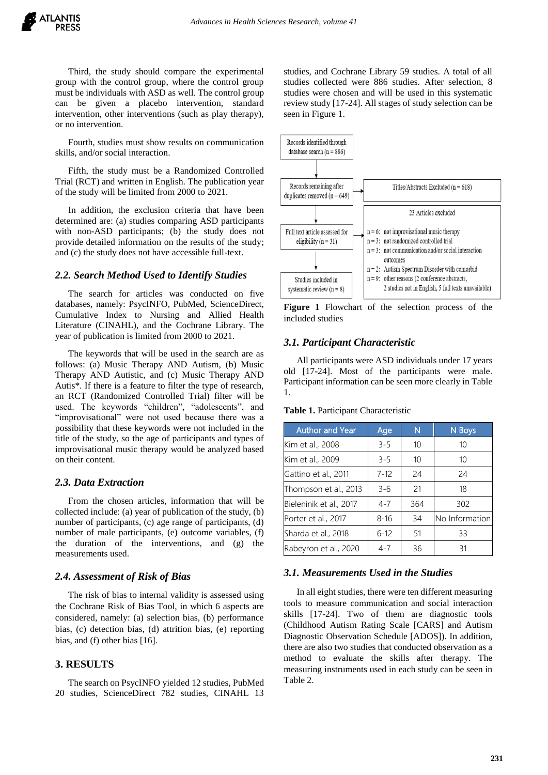Third, the study should compare the experimental group with the control group, where the control group must be individuals with ASD as well. The control group can be given a placebo intervention, standard intervention, other interventions (such as play therapy), or no intervention.

Fourth, studies must show results on communication skills, and/or social interaction.

Fifth, the study must be a Randomized Controlled Trial (RCT) and written in English. The publication year of the study will be limited from 2000 to 2021.

In addition, the exclusion criteria that have been determined are: (a) studies comparing ASD participants with non-ASD participants; (b) the study does not provide detailed information on the results of the study; and (c) the study does not have accessible full-text.

#### *2.2. Search Method Used to Identify Studies*

The search for articles was conducted on five databases, namely: PsycINFO, PubMed, ScienceDirect, Cumulative Index to Nursing and Allied Health Literature (CINAHL), and the Cochrane Library. The year of publication is limited from 2000 to 2021.

The keywords that will be used in the search are as follows: (a) Music Therapy AND Autism, (b) Music Therapy AND Autistic, and (c) Music Therapy AND Autis\*. If there is a feature to filter the type of research, an RCT (Randomized Controlled Trial) filter will be used. The keywords "children", "adolescents", and "improvisational" were not used because there was a possibility that these keywords were not included in the title of the study, so the age of participants and types of improvisational music therapy would be analyzed based on their content.

#### *2.3. Data Extraction*

From the chosen articles, information that will be collected include: (a) year of publication of the study, (b) number of participants, (c) age range of participants, (d) number of male participants, (e) outcome variables, (f) the duration of the interventions, and (g) the measurements used.

#### *2.4. Assessment of Risk of Bias*

The risk of bias to internal validity is assessed using the Cochrane Risk of Bias Tool, in which 6 aspects are considered, namely: (a) selection bias, (b) performance bias, (c) detection bias, (d) attrition bias, (e) reporting bias, and (f) other bias [16].

# **3. RESULTS**

The search on PsycINFO yielded 12 studies, PubMed 20 studies, ScienceDirect 782 studies, CINAHL 13 studies, and Cochrane Library 59 studies. A total of all studies collected were 886 studies. After selection, 8 studies were chosen and will be used in this systematic review study [17-24]. All stages of study selection can be seen in Figure 1.



**Figure 1** Flowchart of the selection process of the included studies

## *3.1. Participant Characteristic*

All participants were ASD individuals under 17 years old [17-24]. Most of the participants were male. Participant information can be seen more clearly in Table 1.

**Table 1.** Participant Characteristic

| <b>Author and Year</b>  | Age      | N   | N Boys         |  |
|-------------------------|----------|-----|----------------|--|
| Kim et al., 2008        | $3 - 5$  | 10  | 10             |  |
| Kim et al., 2009        | $3 - 5$  | 10  | 10             |  |
| Gattino et al., 2011    | $7 - 12$ | 24  | 24             |  |
| Thompson et al., 2013   | $3 - 6$  | 21  | 18             |  |
| Bieleninik et al., 2017 | $4 - 7$  | 364 | 302            |  |
| Porter et al., 2017     | $8 - 16$ | 34  | No Information |  |
| Sharda et al., 2018     | $6 - 12$ | 51  | 33             |  |
| Rabeyron et al., 2020   | $4 - 7$  | 36  | 31             |  |

#### *3.1. Measurements Used in the Studies*

In all eight studies, there were ten different measuring tools to measure communication and social interaction skills [17-24]. Two of them are diagnostic tools (Childhood Autism Rating Scale [CARS] and Autism Diagnostic Observation Schedule [ADOS]). In addition, there are also two studies that conducted observation as a method to evaluate the skills after therapy. The measuring instruments used in each study can be seen in Table 2.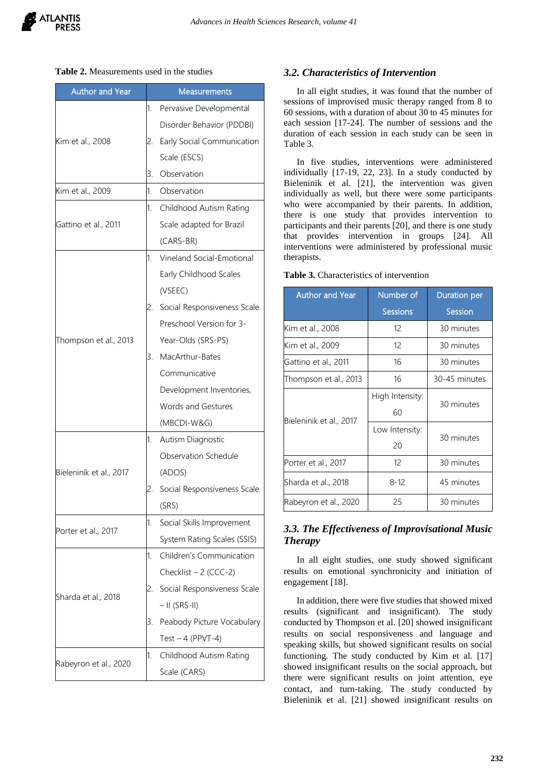#### **Table 2.** Measurements used in the studies

| <b>Author and Year</b>  | <b>Measurements</b> |                             |  |  |
|-------------------------|---------------------|-----------------------------|--|--|
|                         | 1.                  | Pervasive Developmental     |  |  |
|                         |                     | Disorder Behavior (PDDBI)   |  |  |
| Kim et al., 2008        | 2.                  | Early Social Communication  |  |  |
|                         |                     | Scale (ESCS)                |  |  |
|                         | 3.                  | Observation                 |  |  |
| Kim et al., 2009        | 1.                  | Observation                 |  |  |
|                         | 1.                  | Childhood Autism Rating     |  |  |
| Gattino et al., 2011    |                     | Scale adapted for Brazil    |  |  |
|                         |                     | (CARS-BR)                   |  |  |
|                         | 1.                  | Vineland Social-Emotional   |  |  |
|                         |                     | Early Childhood Scales      |  |  |
|                         | 2.                  | (VSEEC)                     |  |  |
|                         |                     | Social Responsiveness Scale |  |  |
|                         |                     | Preschool Version for 3-    |  |  |
| Thompson et al., 2013   | 3.                  | Year-Olds (SRS-PS)          |  |  |
|                         |                     | MacArthur-Bates             |  |  |
|                         |                     | Communicative               |  |  |
|                         |                     | Development Inventories,    |  |  |
|                         |                     | <b>Words and Gestures</b>   |  |  |
|                         |                     | (MBCDI-W&G)                 |  |  |
|                         | 1.                  | Autism Diagnostic           |  |  |
|                         |                     | Observation Schedule        |  |  |
| Bieleninik et al., 2017 |                     | (ADOS)                      |  |  |
|                         | 2.                  | Social Responsiveness Scale |  |  |
|                         |                     | (SRS)                       |  |  |
| Porter et al., 2017     | 1.                  | Social Skills Improvement   |  |  |
|                         |                     | System Rating Scales (SSIS) |  |  |
| Sharda et al., 2018     | 1.                  | Children's Communication    |  |  |
|                         |                     | Checklist $-2$ (CCC-2)      |  |  |
|                         | 2.                  | Social Responsiveness Scale |  |  |
|                         |                     | $-$ II (SRS-II)             |  |  |
|                         | 3.                  | Peabody Picture Vocabulary  |  |  |
|                         |                     | Test $-4$ (PPVT-4)          |  |  |
|                         | 1.                  | Childhood Autism Rating     |  |  |
| Rabeyron et al., 2020   |                     | Scale (CARS)                |  |  |

# *3.2. Characteristics of Intervention*

In all eight studies, it was found that the number of sessions of improvised music therapy ranged from 8 to 60 sessions, with a duration of about 30 to 45 minutes for each session [17-24]. The number of sessions and the duration of each session in each study can be seen in Table 3.

In five studies, interventions were administered individually [17-19, 22, 23]. In a study conducted by Bieleninik et al. [21], the intervention was given individually as well, but there were some participants who were accompanied by their parents. In addition, there is one study that provides intervention to participants and their parents [20], and there is one study that provides intervention in groups [24]. All interventions were administered by professional music therapists.

| <b>Author and Year</b>  | Number of       | Duration per  |  |  |
|-------------------------|-----------------|---------------|--|--|
|                         | <b>Sessions</b> | Session       |  |  |
| Kim et al., 2008        | 12              | 30 minutes    |  |  |
| Kim et al., 2009        | 12              | 30 minutes    |  |  |
| Gattino et al., 2011    | 16              | 30 minutes    |  |  |
| Thompson et al., 2013   | 16              | 30-45 minutes |  |  |
| Bieleninik et al., 2017 | High Intensity: | 30 minutes    |  |  |
|                         | 60              |               |  |  |
|                         | Low Intensity:  | 30 minutes    |  |  |
|                         | 20              |               |  |  |
| Porter et al., 2017     | 12              | 30 minutes    |  |  |
| Sharda et al., 2018     | $8 - 12$        | 45 minutes    |  |  |
| Rabeyron et al., 2020   | 25              | 30 minutes    |  |  |

**Table 3.** Characteristics of intervention

# *3.3. The Effectiveness of Improvisational Music Therapy*

In all eight studies, one study showed significant results on emotional synchronicity and initiation of engagement [18].

In addition, there were five studies that showed mixed results (significant and insignificant). The study conducted by Thompson et al. [20] showed insignificant results on social responsiveness and language and speaking skills, but showed significant results on social functioning. The study conducted by Kim et al. [17] showed insignificant results on the social approach, but there were significant results on joint attention, eye contact, and turn-taking. The study conducted by Bieleninik et al. [21] showed insignificant results on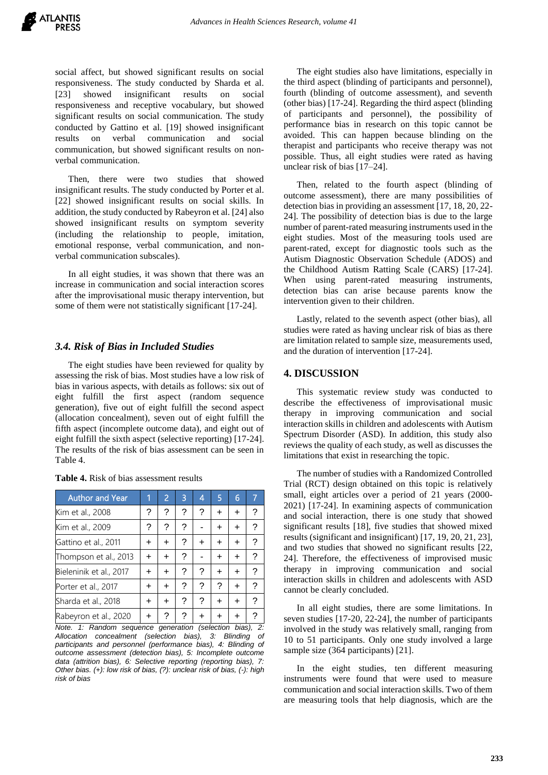social affect, but showed significant results on social responsiveness. The study conducted by Sharda et al. [23] showed insignificant results on social responsiveness and receptive vocabulary, but showed significant results on social communication. The study conducted by Gattino et al. [19] showed insignificant results on verbal communication and social communication, but showed significant results on nonverbal communication.

Then, there were two studies that showed insignificant results. The study conducted by Porter et al. [22] showed insignificant results on social skills. In addition, the study conducted by Rabeyron et al. [24] also showed insignificant results on symptom severity (including the relationship to people, imitation, emotional response, verbal communication, and nonverbal communication subscales).

In all eight studies, it was shown that there was an increase in communication and social interaction scores after the improvisational music therapy intervention, but some of them were not statistically significant [17-24].

#### *3.4. Risk of Bias in Included Studies*

The eight studies have been reviewed for quality by assessing the risk of bias. Most studies have a low risk of bias in various aspects, with details as follows: six out of eight fulfill the first aspect (random sequence generation), five out of eight fulfill the second aspect (allocation concealment), seven out of eight fulfill the fifth aspect (incomplete outcome data), and eight out of eight fulfill the sixth aspect (selective reporting) [17-24]. The results of the risk of bias assessment can be seen in Table 4.

| <b>Author and Year</b>  | 1 | $\overline{2}$ | 3 | 4 | 5 | 6 |   |
|-------------------------|---|----------------|---|---|---|---|---|
| Kim et al., 2008        | ? | ?              | ? | ? | + | ÷ | ? |
| Kim et al., 2009        | ? | ?              | ? |   |   | + | ? |
| Gattino et al., 2011    | ÷ | $\ddot{}$      | ? |   | + | ÷ | ? |
| Thompson et al., 2013   | ٠ | $\ddot{}$      | ? |   | ٠ | + | ? |
| Bieleninik et al., 2017 | + | $\ddot{}$      | ? | ? | + | + | ? |
| Porter et al., 2017     | + | $\ddot{}$      | ? | ? | ? | ÷ | ? |
| Sharda et al., 2018     | + | $\ddot{}$      | ? | ? | + | ÷ | ? |
| Rabeyron et al., 2020   | ٠ |                |   |   |   |   |   |

**Table 4.** Risk of bias assessment results

*Note. 1: Random sequence generation (selection bias), 2: Allocation concealment (selection bias), 3: Blinding of participants and personnel (performance bias), 4: Blinding of outcome assessment (detection bias), 5: Incomplete outcome data (attrition bias), 6: Selective reporting (reporting bias), 7: Other bias. (+): low risk of bias, (?): unclear risk of bias, (-): high risk of bias*

The eight studies also have limitations, especially in the third aspect (blinding of participants and personnel), fourth (blinding of outcome assessment), and seventh (other bias) [17-24]. Regarding the third aspect (blinding of participants and personnel), the possibility of performance bias in research on this topic cannot be avoided. This can happen because blinding on the therapist and participants who receive therapy was not possible. Thus, all eight studies were rated as having unclear risk of bias [17–24].

Then, related to the fourth aspect (blinding of outcome assessment), there are many possibilities of detection bias in providing an assessment [17, 18, 20, 22- 24]. The possibility of detection bias is due to the large number of parent-rated measuring instruments used in the eight studies. Most of the measuring tools used are parent-rated, except for diagnostic tools such as the Autism Diagnostic Observation Schedule (ADOS) and the Childhood Autism Ratting Scale (CARS) [17-24]. When using parent-rated measuring instruments, detection bias can arise because parents know the intervention given to their children.

Lastly, related to the seventh aspect (other bias), all studies were rated as having unclear risk of bias as there are limitation related to sample size, measurements used, and the duration of intervention [17-24].

#### **4. DISCUSSION**

This systematic review study was conducted to describe the effectiveness of improvisational music therapy in improving communication and social interaction skills in children and adolescents with Autism Spectrum Disorder (ASD). In addition, this study also reviews the quality of each study, as well as discusses the limitations that exist in researching the topic.

The number of studies with a Randomized Controlled Trial (RCT) design obtained on this topic is relatively small, eight articles over a period of 21 years (2000- 2021) [17-24]. In examining aspects of communication and social interaction, there is one study that showed significant results [18], five studies that showed mixed results (significant and insignificant) [17, 19, 20, 21, 23], and two studies that showed no significant results [22, 24]. Therefore, the effectiveness of improvised music therapy in improving communication and social interaction skills in children and adolescents with ASD cannot be clearly concluded.

In all eight studies, there are some limitations. In seven studies [17-20, 22-24], the number of participants involved in the study was relatively small, ranging from 10 to 51 participants. Only one study involved a large sample size (364 participants) [21].

In the eight studies, ten different measuring instruments were found that were used to measure communication and social interaction skills. Two of them are measuring tools that help diagnosis, which are the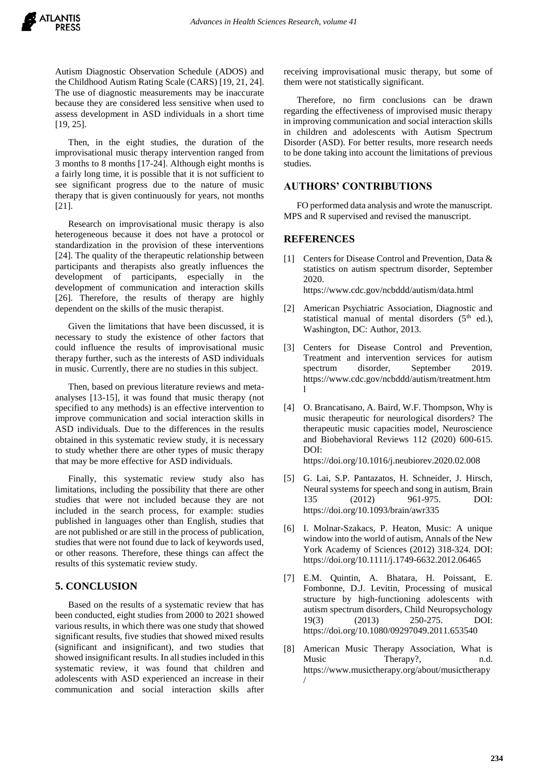Autism Diagnostic Observation Schedule (ADOS) and the Childhood Autism Rating Scale (CARS) [19, 21, 24]. The use of diagnostic measurements may be inaccurate because they are considered less sensitive when used to assess development in ASD individuals in a short time [19, 25].

Then, in the eight studies, the duration of the improvisational music therapy intervention ranged from 3 months to 8 months [17-24]. Although eight months is a fairly long time, it is possible that it is not sufficient to see significant progress due to the nature of music therapy that is given continuously for years, not months [21].

Research on improvisational music therapy is also heterogeneous because it does not have a protocol or standardization in the provision of these interventions [24]. The quality of the therapeutic relationship between participants and therapists also greatly influences the development of participants, especially in the development of communication and interaction skills [26]. Therefore, the results of therapy are highly dependent on the skills of the music therapist.

Given the limitations that have been discussed, it is necessary to study the existence of other factors that could influence the results of improvisational music therapy further, such as the interests of ASD individuals in music. Currently, there are no studies in this subject.

Then, based on previous literature reviews and metaanalyses [13-15], it was found that music therapy (not specified to any methods) is an effective intervention to improve communication and social interaction skills in ASD individuals. Due to the differences in the results obtained in this systematic review study, it is necessary to study whether there are other types of music therapy that may be more effective for ASD individuals.

Finally, this systematic review study also has limitations, including the possibility that there are other studies that were not included because they are not included in the search process, for example: studies published in languages other than English, studies that are not published or are still in the process of publication, studies that were not found due to lack of keywords used, or other reasons. Therefore, these things can affect the results of this systematic review study.

# **5. CONCLUSION**

Based on the results of a systematic review that has been conducted, eight studies from 2000 to 2021 showed various results, in which there was one study that showed significant results, five studies that showed mixed results (significant and insignificant), and two studies that showed insignificant results. In all studies included in this systematic review, it was found that children and adolescents with ASD experienced an increase in their communication and social interaction skills after

receiving improvisational music therapy, but some of them were not statistically significant.

Therefore, no firm conclusions can be drawn regarding the effectiveness of improvised music therapy in improving communication and social interaction skills in children and adolescents with Autism Spectrum Disorder (ASD). For better results, more research needs to be done taking into account the limitations of previous studies.

# **AUTHORS' CONTRIBUTIONS**

FO performed data analysis and wrote the manuscript. MPS and R supervised and revised the manuscript.

# **REFERENCES**

- [1] Centers for Disease Control and Prevention, Data & statistics on autism spectrum disorder, September 2020. https://www.cdc.gov/ncbddd/autism/data.html
- [2] American Psychiatric Association, Diagnostic and statistical manual of mental disorders  $(5<sup>th</sup>$  ed.), Washington, DC: Author, 2013.
- [3] Centers for Disease Control and Prevention, Treatment and intervention services for autism spectrum disorder, September 2019. https://www.cdc.gov/ncbddd/autism/treatment.htm l
- [4] O. Brancatisano, A. Baird, W.F. Thompson, Why is music therapeutic for neurological disorders? The therapeutic music capacities model, Neuroscience and Biobehavioral Reviews 112 (2020) 600-615. DOI: https://doi.org/10.1016/j.neubiorev.2020.02.008
- [5] G. Lai, S.P. Pantazatos, H. Schneider, J. Hirsch, Neural systems for speech and song in autism, Brain 135 (2012) 961-975. DOI: https://doi.org/10.1093/brain/awr335
- [6] I. Molnar-Szakacs, P. Heaton, Music: A unique window into the world of autism, Annals of the New York Academy of Sciences (2012) 318-324. DOI: https://doi.org/10.1111/j.1749-6632.2012.06465
- [7] E.M. Quintin, A. Bhatara, H. Poissant, E. Fombonne, D.J. Levitin, Processing of musical structure by high-functioning adolescents with autism spectrum disorders, Child Neuropsychology 19(3) (2013) 250-275. DOI: https://doi.org/10.1080/09297049.2011.653540
- [8] American Music Therapy Association, What is Music Therapy?, n.d. https://www.musictherapy.org/about/musictherapy /